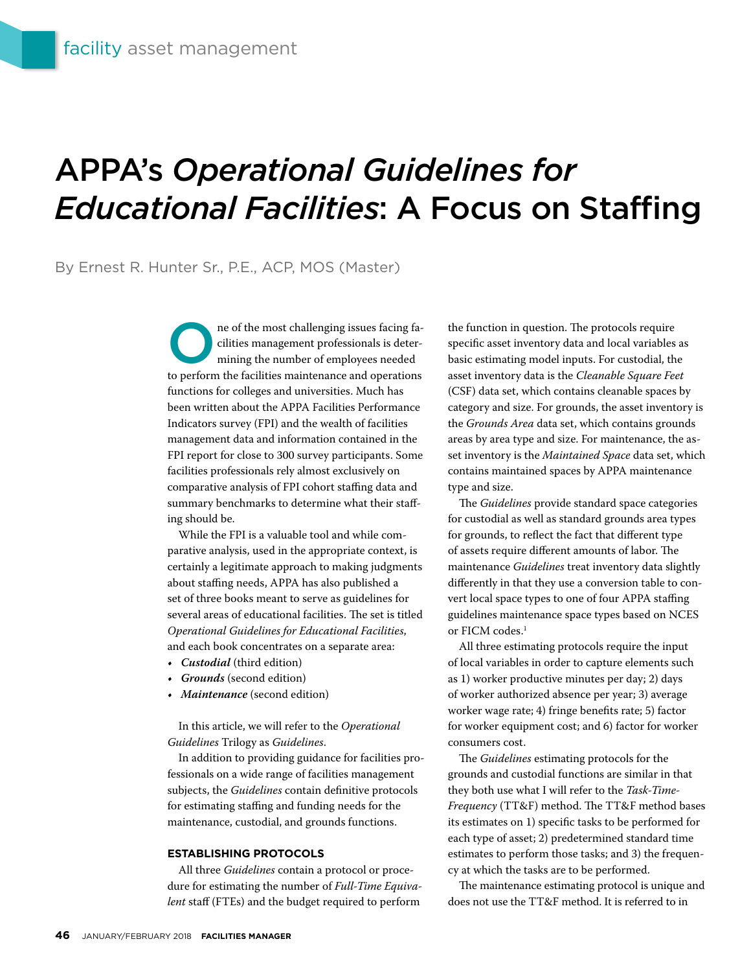# APPA's *Operational Guidelines for Educational Facilities*: A Focus on Staffing

# By Ernest R. Hunter Sr., P.E., ACP, MOS (Master)

The of the most challenging issues facing facilities management professionals is determining the number of employees needed cilities management professionals is determining the number of employees needed to perform the facilities maintenance and operations functions for colleges and universities. Much has been written about the APPA Facilities Performance Indicators survey (FPI) and the wealth of facilities management data and information contained in the FPI report for close to 300 survey participants. Some facilities professionals rely almost exclusively on comparative analysis of FPI cohort staffing data and summary benchmarks to determine what their staffing should be.

While the FPI is a valuable tool and while comparative analysis, used in the appropriate context, is certainly a legitimate approach to making judgments about staffing needs, APPA has also published a set of three books meant to serve as guidelines for several areas of educational facilities. The set is titled *Operational Guidelines for Educational Facilities*, and each book concentrates on a separate area:

- *• Custodial* (third edition)
- *• Grounds* (second edition)
- *• Maintenance* (second edition)

In this article, we will refer to the *Operational Guidelines* Trilogy as *Guidelines*.

In addition to providing guidance for facilities professionals on a wide range of facilities management subjects, the *Guidelines* contain definitive protocols for estimating staffing and funding needs for the maintenance, custodial, and grounds functions.

#### **ESTABLISHING PROTOCOLS**

All three *Guidelines* contain a protocol or procedure for estimating the number of *Full-Time Equivalent* staff (FTEs) and the budget required to perform

the function in question. The protocols require specific asset inventory data and local variables as basic estimating model inputs. For custodial, the asset inventory data is the *Cleanable Square Feet* (CSF) data set, which contains cleanable spaces by category and size. For grounds, the asset inventory is the *Grounds Area* data set, which contains grounds areas by area type and size. For maintenance, the asset inventory is the *Maintained Space* data set, which contains maintained spaces by APPA maintenance type and size.

The *Guidelines* provide standard space categories for custodial as well as standard grounds area types for grounds, to reflect the fact that different type of assets require different amounts of labor. The maintenance *Guidelines* treat inventory data slightly differently in that they use a conversion table to convert local space types to one of four APPA staffing guidelines maintenance space types based on NCES or FICM codes.<sup>1</sup>

All three estimating protocols require the input of local variables in order to capture elements such as 1) worker productive minutes per day; 2) days of worker authorized absence per year; 3) average worker wage rate; 4) fringe benefits rate; 5) factor for worker equipment cost; and 6) factor for worker consumers cost.

The *Guidelines* estimating protocols for the grounds and custodial functions are similar in that they both use what I will refer to the *Task-Time-Frequency* (TT&F) method. The TT&F method bases its estimates on 1) specific tasks to be performed for each type of asset; 2) predetermined standard time estimates to perform those tasks; and 3) the frequency at which the tasks are to be performed.

The maintenance estimating protocol is unique and does not use the TT&F method. It is referred to in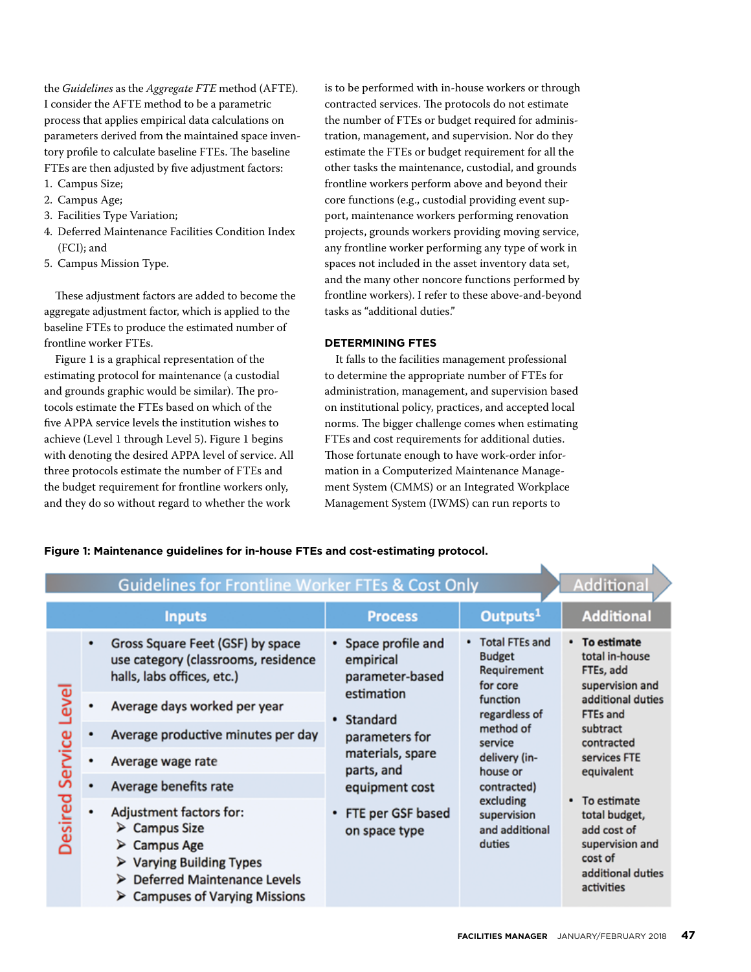the *Guidelines* as the *Aggregate FTE* method (AFTE). I consider the AFTE method to be a parametric process that applies empirical data calculations on parameters derived from the maintained space inventory profile to calculate baseline FTEs. The baseline FTEs are then adjusted by five adjustment factors:

- 1. Campus Size;
- 2. Campus Age;
- 3. Facilities Type Variation;
- 4. Deferred Maintenance Facilities Condition Index (FCI); and
- 5. Campus Mission Type.

These adjustment factors are added to become the aggregate adjustment factor, which is applied to the baseline FTEs to produce the estimated number of frontline worker FTEs.

Figure 1 is a graphical representation of the estimating protocol for maintenance (a custodial and grounds graphic would be similar). The protocols estimate the FTEs based on which of the five APPA service levels the institution wishes to achieve (Level 1 through Level 5). Figure 1 begins with denoting the desired APPA level of service. All three protocols estimate the number of FTEs and the budget requirement for frontline workers only, and they do so without regard to whether the work

is to be performed with in-house workers or through contracted services. The protocols do not estimate the number of FTEs or budget required for administration, management, and supervision. Nor do they estimate the FTEs or budget requirement for all the other tasks the maintenance, custodial, and grounds frontline workers perform above and beyond their core functions (e.g., custodial providing event support, maintenance workers performing renovation projects, grounds workers providing moving service, any frontline worker performing any type of work in spaces not included in the asset inventory data set, and the many other noncore functions performed by frontline workers). I refer to these above-and-beyond tasks as "additional duties."

## **DETERMINING FTES**

It falls to the facilities management professional to determine the appropriate number of FTEs for administration, management, and supervision based on institutional policy, practices, and accepted local norms. The bigger challenge comes when estimating FTEs and cost requirements for additional duties. Those fortunate enough to have work-order information in a Computerized Maintenance Management System (CMMS) or an Integrated Workplace Management System (IWMS) can run reports to

| <b>Guidelines for Frontline Worker FTEs &amp; Cost Only</b> |   |                                                                                                                                                                                                                     |                                                                                                                                                                                               |                                                                                                                                                                                                                            | <b>Additional</b>                                                                                                                                                                                                                                                          |
|-------------------------------------------------------------|---|---------------------------------------------------------------------------------------------------------------------------------------------------------------------------------------------------------------------|-----------------------------------------------------------------------------------------------------------------------------------------------------------------------------------------------|----------------------------------------------------------------------------------------------------------------------------------------------------------------------------------------------------------------------------|----------------------------------------------------------------------------------------------------------------------------------------------------------------------------------------------------------------------------------------------------------------------------|
| <b>Inputs</b>                                               |   |                                                                                                                                                                                                                     | <b>Process</b>                                                                                                                                                                                | Outputs <sup>1</sup>                                                                                                                                                                                                       | <b>Additional</b>                                                                                                                                                                                                                                                          |
| ğ<br>Service<br>Desired                                     | ٠ | Gross Square Feet (GSF) by space<br>use category (classrooms, residence<br>halls, labs offices, etc.)                                                                                                               | • Space profile and<br>empirical<br>parameter-based<br>estimation<br>• Standard<br>parameters for<br>materials, spare<br>parts, and<br>equipment cost<br>• FTE per GSF based<br>on space type | <b>Total FTEs and</b><br><b>Budget</b><br>Requirement<br>for core<br>function<br>regardless of<br>method of<br>service<br>delivery (in-<br>house or<br>contracted)<br>excluding<br>supervision<br>and additional<br>duties | • To estimate<br>total in-house<br>FTEs, add<br>supervision and<br>additional duties<br>FTEs and<br>subtract<br>contracted<br>services FTE<br>equivalent<br>• To estimate<br>total budget,<br>add cost of<br>supervision and<br>cost of<br>additional duties<br>activities |
|                                                             |   | Average days worked per year                                                                                                                                                                                        |                                                                                                                                                                                               |                                                                                                                                                                                                                            |                                                                                                                                                                                                                                                                            |
|                                                             |   | Average productive minutes per day                                                                                                                                                                                  |                                                                                                                                                                                               |                                                                                                                                                                                                                            |                                                                                                                                                                                                                                                                            |
|                                                             | ٠ | Average wage rate                                                                                                                                                                                                   |                                                                                                                                                                                               |                                                                                                                                                                                                                            |                                                                                                                                                                                                                                                                            |
|                                                             |   | Average benefits rate                                                                                                                                                                                               |                                                                                                                                                                                               |                                                                                                                                                                                                                            |                                                                                                                                                                                                                                                                            |
|                                                             | ٠ | Adjustment factors for:<br>$\triangleright$ Campus Size<br>$\triangleright$ Campus Age<br>$\triangleright$ Varying Building Types<br>> Deferred Maintenance Levels<br>$\triangleright$ Campuses of Varying Missions |                                                                                                                                                                                               |                                                                                                                                                                                                                            |                                                                                                                                                                                                                                                                            |

## **Figure 1: Maintenance guidelines for in-house FTEs and cost-estimating protocol.**